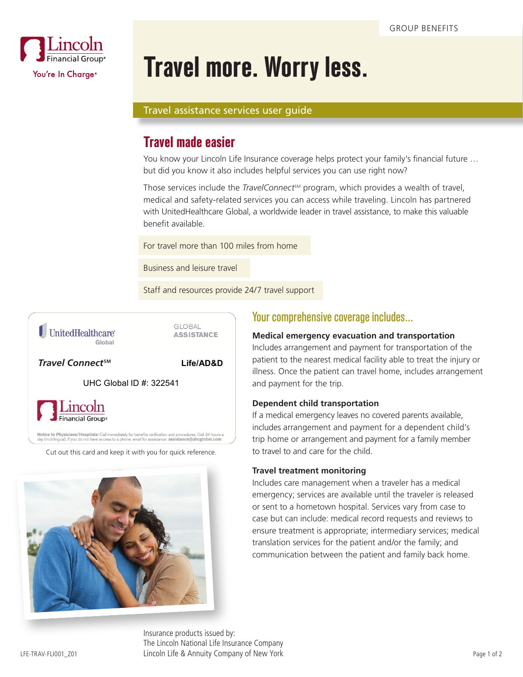

# **Travel more. Worry less.**

### Travel assistance services user guide

## **Travel made easier**

You know your Lincoln Life Insurance coverage helps protect your family's financial future … but did you know it also includes helpful services you can use right now?

Those services include the *TravelConnect<sup>™</sup>* program, which provides a wealth of travel, medical and safety-related services you can access while traveling. Lincoln has partnered with UnitedHealthcare Global, a worldwide leader in travel assistance, to make this valuable benefit available.

For travel more than 100 miles from home

Business and leisure travel

Staff and resources provide 24/7 travel support



GLOBAL **ASSISTANCE** 

*TravelConnect Travel Connect***SM**

Life/AD&D

UHC Global ID #: 322541



Notice to Physicians/Hospitals: Call immediately for benefits verification and procedures. Call 24 hours a<br>day (multilingual). If you do not have access to a phone, email for assistance: assistance@uhcglobal.com

Cut out this card and keep it with you for quick reference.



## Your comprehensive coverage includes…

### **Medical emergency evacuation and transportation**

Includes arrangement and payment for transportation of the patient to the nearest medical facility able to treat the injury or illness. Once the patient can travel home, includes arrangement and payment for the trip.

#### **Dependent child transportation**

If a medical emergency leaves no covered parents available, includes arrangement and payment for a dependent child's trip home or arrangement and payment for a family member to travel to and care for the child.

#### **Travel treatment monitoring**

Includes care management when a traveler has a medical emergency; services are available until the traveler is released or sent to a hometown hospital. Services vary from case to case but can include: medical record requests and reviews to ensure treatment is appropriate; intermediary services; medical translation services for the patient and/or the family; and communication between the patient and family back home.

LFE-TRAV-FLI001\_Z01 Page 1 of 2 Lincoln Life & Annuity Company of New York Insurance products issued by: The Lincoln National Life Insurance Company